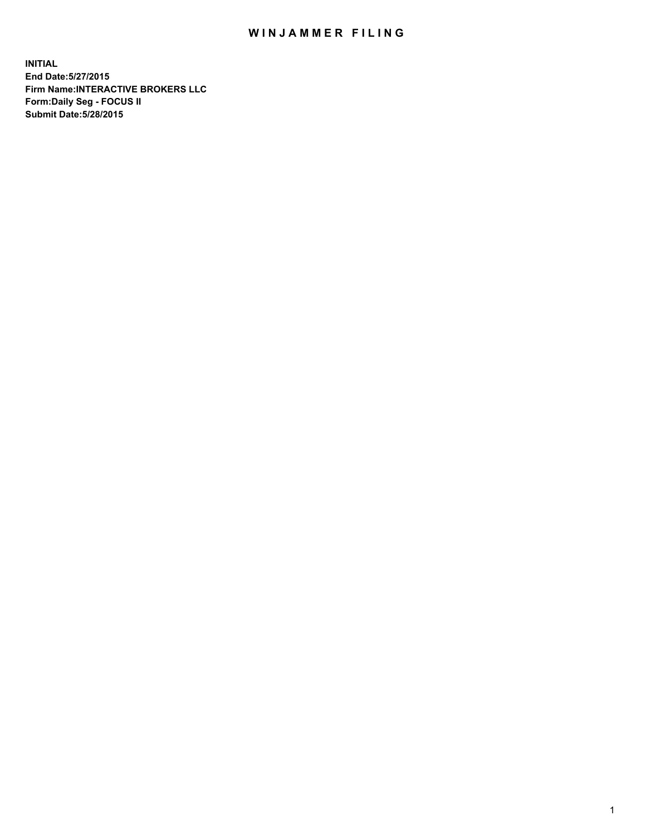## WIN JAMMER FILING

**INITIAL End Date:5/27/2015 Firm Name:INTERACTIVE BROKERS LLC Form:Daily Seg - FOCUS II Submit Date:5/28/2015**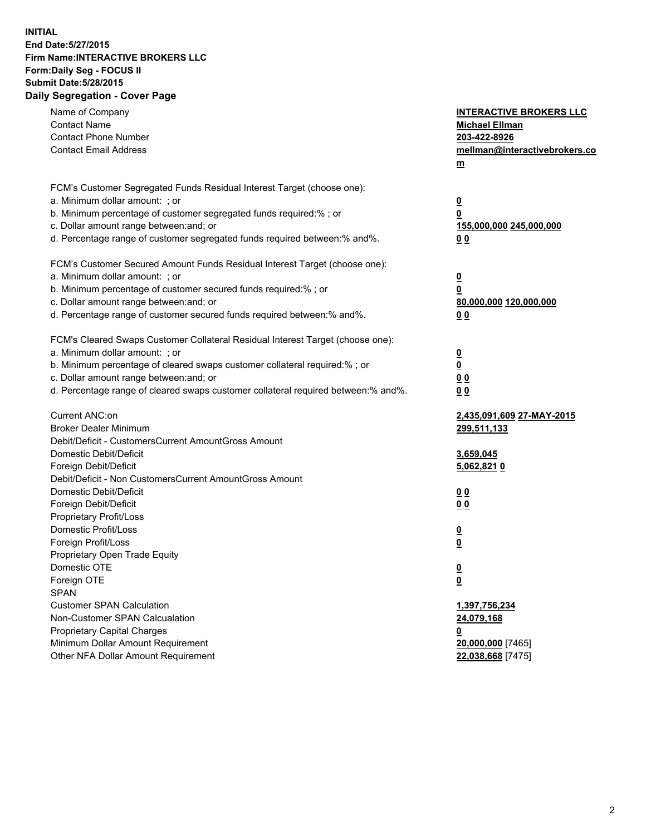## **INITIAL End Date:5/27/2015 Firm Name:INTERACTIVE BROKERS LLC Form:Daily Seg - FOCUS II Submit Date:5/28/2015 Daily Segregation - Cover Page**

| FCM's Customer Segregated Funds Residual Interest Target (choose one):<br>a. Minimum dollar amount: ; or<br>$\overline{\mathbf{0}}$<br>b. Minimum percentage of customer segregated funds required:% ; or<br>0<br>c. Dollar amount range between: and; or<br>155,000,000 245,000,000<br>d. Percentage range of customer segregated funds required between:% and%.<br>0 <sub>0</sub><br>FCM's Customer Secured Amount Funds Residual Interest Target (choose one):<br>a. Minimum dollar amount: ; or<br>$\overline{\mathbf{0}}$<br>b. Minimum percentage of customer secured funds required:% ; or<br>0<br>c. Dollar amount range between: and; or<br>80,000,000 120,000,000<br>d. Percentage range of customer secured funds required between:% and%.<br>0 <sub>0</sub><br>FCM's Cleared Swaps Customer Collateral Residual Interest Target (choose one):<br>a. Minimum dollar amount: ; or<br>$\overline{\mathbf{0}}$<br>b. Minimum percentage of cleared swaps customer collateral required:% ; or<br>$\overline{\mathbf{0}}$<br>c. Dollar amount range between: and; or<br>0 <sub>0</sub><br>d. Percentage range of cleared swaps customer collateral required between:% and%.<br>0 <sub>0</sub><br>Current ANC:on<br>2,435,091,609 27-MAY-2015<br><b>Broker Dealer Minimum</b><br>299,511,133<br>Debit/Deficit - CustomersCurrent AmountGross Amount<br>Domestic Debit/Deficit<br>3,659,045<br>Foreign Debit/Deficit<br>5,062,8210<br>Debit/Deficit - Non CustomersCurrent AmountGross Amount<br>Domestic Debit/Deficit<br>0 <sub>0</sub><br>Foreign Debit/Deficit<br>0 <sub>0</sub><br>Proprietary Profit/Loss<br>Domestic Profit/Loss<br>$\overline{\mathbf{0}}$<br>Foreign Profit/Loss<br>$\underline{\mathbf{0}}$<br>Proprietary Open Trade Equity<br>Domestic OTE<br><u>0</u><br>Foreign OTE<br><u>0</u><br><b>SPAN</b><br><b>Customer SPAN Calculation</b><br>1,397,756,234<br>Non-Customer SPAN Calcualation<br>24,079,168<br>Proprietary Capital Charges<br><u>0</u><br>Minimum Dollar Amount Requirement<br>20,000,000 [7465]<br>Other NFA Dollar Amount Requirement<br>22,038,668 [7475] | Name of Company<br><b>Contact Name</b><br><b>Contact Phone Number</b><br><b>Contact Email Address</b> | <b>INTERACTIVE BROKERS LLC</b><br><b>Michael Ellman</b><br>203-422-8926<br>mellman@interactivebrokers.co<br>$m$ |
|--------------------------------------------------------------------------------------------------------------------------------------------------------------------------------------------------------------------------------------------------------------------------------------------------------------------------------------------------------------------------------------------------------------------------------------------------------------------------------------------------------------------------------------------------------------------------------------------------------------------------------------------------------------------------------------------------------------------------------------------------------------------------------------------------------------------------------------------------------------------------------------------------------------------------------------------------------------------------------------------------------------------------------------------------------------------------------------------------------------------------------------------------------------------------------------------------------------------------------------------------------------------------------------------------------------------------------------------------------------------------------------------------------------------------------------------------------------------------------------------------------------------------------------------------------------------------------------------------------------------------------------------------------------------------------------------------------------------------------------------------------------------------------------------------------------------------------------------------------------------------------------------------------------------------------------------------------------------------------------------------------------------------------------------------------------------------------------------------------|-------------------------------------------------------------------------------------------------------|-----------------------------------------------------------------------------------------------------------------|
|                                                                                                                                                                                                                                                                                                                                                                                                                                                                                                                                                                                                                                                                                                                                                                                                                                                                                                                                                                                                                                                                                                                                                                                                                                                                                                                                                                                                                                                                                                                                                                                                                                                                                                                                                                                                                                                                                                                                                                                                                                                                                                        |                                                                                                       |                                                                                                                 |
|                                                                                                                                                                                                                                                                                                                                                                                                                                                                                                                                                                                                                                                                                                                                                                                                                                                                                                                                                                                                                                                                                                                                                                                                                                                                                                                                                                                                                                                                                                                                                                                                                                                                                                                                                                                                                                                                                                                                                                                                                                                                                                        |                                                                                                       |                                                                                                                 |
|                                                                                                                                                                                                                                                                                                                                                                                                                                                                                                                                                                                                                                                                                                                                                                                                                                                                                                                                                                                                                                                                                                                                                                                                                                                                                                                                                                                                                                                                                                                                                                                                                                                                                                                                                                                                                                                                                                                                                                                                                                                                                                        |                                                                                                       |                                                                                                                 |
|                                                                                                                                                                                                                                                                                                                                                                                                                                                                                                                                                                                                                                                                                                                                                                                                                                                                                                                                                                                                                                                                                                                                                                                                                                                                                                                                                                                                                                                                                                                                                                                                                                                                                                                                                                                                                                                                                                                                                                                                                                                                                                        |                                                                                                       |                                                                                                                 |
|                                                                                                                                                                                                                                                                                                                                                                                                                                                                                                                                                                                                                                                                                                                                                                                                                                                                                                                                                                                                                                                                                                                                                                                                                                                                                                                                                                                                                                                                                                                                                                                                                                                                                                                                                                                                                                                                                                                                                                                                                                                                                                        |                                                                                                       |                                                                                                                 |
|                                                                                                                                                                                                                                                                                                                                                                                                                                                                                                                                                                                                                                                                                                                                                                                                                                                                                                                                                                                                                                                                                                                                                                                                                                                                                                                                                                                                                                                                                                                                                                                                                                                                                                                                                                                                                                                                                                                                                                                                                                                                                                        |                                                                                                       |                                                                                                                 |
|                                                                                                                                                                                                                                                                                                                                                                                                                                                                                                                                                                                                                                                                                                                                                                                                                                                                                                                                                                                                                                                                                                                                                                                                                                                                                                                                                                                                                                                                                                                                                                                                                                                                                                                                                                                                                                                                                                                                                                                                                                                                                                        |                                                                                                       |                                                                                                                 |
|                                                                                                                                                                                                                                                                                                                                                                                                                                                                                                                                                                                                                                                                                                                                                                                                                                                                                                                                                                                                                                                                                                                                                                                                                                                                                                                                                                                                                                                                                                                                                                                                                                                                                                                                                                                                                                                                                                                                                                                                                                                                                                        |                                                                                                       |                                                                                                                 |
|                                                                                                                                                                                                                                                                                                                                                                                                                                                                                                                                                                                                                                                                                                                                                                                                                                                                                                                                                                                                                                                                                                                                                                                                                                                                                                                                                                                                                                                                                                                                                                                                                                                                                                                                                                                                                                                                                                                                                                                                                                                                                                        |                                                                                                       |                                                                                                                 |
|                                                                                                                                                                                                                                                                                                                                                                                                                                                                                                                                                                                                                                                                                                                                                                                                                                                                                                                                                                                                                                                                                                                                                                                                                                                                                                                                                                                                                                                                                                                                                                                                                                                                                                                                                                                                                                                                                                                                                                                                                                                                                                        |                                                                                                       |                                                                                                                 |
|                                                                                                                                                                                                                                                                                                                                                                                                                                                                                                                                                                                                                                                                                                                                                                                                                                                                                                                                                                                                                                                                                                                                                                                                                                                                                                                                                                                                                                                                                                                                                                                                                                                                                                                                                                                                                                                                                                                                                                                                                                                                                                        |                                                                                                       |                                                                                                                 |
|                                                                                                                                                                                                                                                                                                                                                                                                                                                                                                                                                                                                                                                                                                                                                                                                                                                                                                                                                                                                                                                                                                                                                                                                                                                                                                                                                                                                                                                                                                                                                                                                                                                                                                                                                                                                                                                                                                                                                                                                                                                                                                        |                                                                                                       |                                                                                                                 |
|                                                                                                                                                                                                                                                                                                                                                                                                                                                                                                                                                                                                                                                                                                                                                                                                                                                                                                                                                                                                                                                                                                                                                                                                                                                                                                                                                                                                                                                                                                                                                                                                                                                                                                                                                                                                                                                                                                                                                                                                                                                                                                        |                                                                                                       |                                                                                                                 |
|                                                                                                                                                                                                                                                                                                                                                                                                                                                                                                                                                                                                                                                                                                                                                                                                                                                                                                                                                                                                                                                                                                                                                                                                                                                                                                                                                                                                                                                                                                                                                                                                                                                                                                                                                                                                                                                                                                                                                                                                                                                                                                        |                                                                                                       |                                                                                                                 |
|                                                                                                                                                                                                                                                                                                                                                                                                                                                                                                                                                                                                                                                                                                                                                                                                                                                                                                                                                                                                                                                                                                                                                                                                                                                                                                                                                                                                                                                                                                                                                                                                                                                                                                                                                                                                                                                                                                                                                                                                                                                                                                        |                                                                                                       |                                                                                                                 |
|                                                                                                                                                                                                                                                                                                                                                                                                                                                                                                                                                                                                                                                                                                                                                                                                                                                                                                                                                                                                                                                                                                                                                                                                                                                                                                                                                                                                                                                                                                                                                                                                                                                                                                                                                                                                                                                                                                                                                                                                                                                                                                        |                                                                                                       |                                                                                                                 |
|                                                                                                                                                                                                                                                                                                                                                                                                                                                                                                                                                                                                                                                                                                                                                                                                                                                                                                                                                                                                                                                                                                                                                                                                                                                                                                                                                                                                                                                                                                                                                                                                                                                                                                                                                                                                                                                                                                                                                                                                                                                                                                        |                                                                                                       |                                                                                                                 |
|                                                                                                                                                                                                                                                                                                                                                                                                                                                                                                                                                                                                                                                                                                                                                                                                                                                                                                                                                                                                                                                                                                                                                                                                                                                                                                                                                                                                                                                                                                                                                                                                                                                                                                                                                                                                                                                                                                                                                                                                                                                                                                        |                                                                                                       |                                                                                                                 |
|                                                                                                                                                                                                                                                                                                                                                                                                                                                                                                                                                                                                                                                                                                                                                                                                                                                                                                                                                                                                                                                                                                                                                                                                                                                                                                                                                                                                                                                                                                                                                                                                                                                                                                                                                                                                                                                                                                                                                                                                                                                                                                        |                                                                                                       |                                                                                                                 |
|                                                                                                                                                                                                                                                                                                                                                                                                                                                                                                                                                                                                                                                                                                                                                                                                                                                                                                                                                                                                                                                                                                                                                                                                                                                                                                                                                                                                                                                                                                                                                                                                                                                                                                                                                                                                                                                                                                                                                                                                                                                                                                        |                                                                                                       |                                                                                                                 |
|                                                                                                                                                                                                                                                                                                                                                                                                                                                                                                                                                                                                                                                                                                                                                                                                                                                                                                                                                                                                                                                                                                                                                                                                                                                                                                                                                                                                                                                                                                                                                                                                                                                                                                                                                                                                                                                                                                                                                                                                                                                                                                        |                                                                                                       |                                                                                                                 |
|                                                                                                                                                                                                                                                                                                                                                                                                                                                                                                                                                                                                                                                                                                                                                                                                                                                                                                                                                                                                                                                                                                                                                                                                                                                                                                                                                                                                                                                                                                                                                                                                                                                                                                                                                                                                                                                                                                                                                                                                                                                                                                        |                                                                                                       |                                                                                                                 |
|                                                                                                                                                                                                                                                                                                                                                                                                                                                                                                                                                                                                                                                                                                                                                                                                                                                                                                                                                                                                                                                                                                                                                                                                                                                                                                                                                                                                                                                                                                                                                                                                                                                                                                                                                                                                                                                                                                                                                                                                                                                                                                        |                                                                                                       |                                                                                                                 |
|                                                                                                                                                                                                                                                                                                                                                                                                                                                                                                                                                                                                                                                                                                                                                                                                                                                                                                                                                                                                                                                                                                                                                                                                                                                                                                                                                                                                                                                                                                                                                                                                                                                                                                                                                                                                                                                                                                                                                                                                                                                                                                        |                                                                                                       |                                                                                                                 |
|                                                                                                                                                                                                                                                                                                                                                                                                                                                                                                                                                                                                                                                                                                                                                                                                                                                                                                                                                                                                                                                                                                                                                                                                                                                                                                                                                                                                                                                                                                                                                                                                                                                                                                                                                                                                                                                                                                                                                                                                                                                                                                        |                                                                                                       |                                                                                                                 |
|                                                                                                                                                                                                                                                                                                                                                                                                                                                                                                                                                                                                                                                                                                                                                                                                                                                                                                                                                                                                                                                                                                                                                                                                                                                                                                                                                                                                                                                                                                                                                                                                                                                                                                                                                                                                                                                                                                                                                                                                                                                                                                        |                                                                                                       |                                                                                                                 |
|                                                                                                                                                                                                                                                                                                                                                                                                                                                                                                                                                                                                                                                                                                                                                                                                                                                                                                                                                                                                                                                                                                                                                                                                                                                                                                                                                                                                                                                                                                                                                                                                                                                                                                                                                                                                                                                                                                                                                                                                                                                                                                        |                                                                                                       |                                                                                                                 |
|                                                                                                                                                                                                                                                                                                                                                                                                                                                                                                                                                                                                                                                                                                                                                                                                                                                                                                                                                                                                                                                                                                                                                                                                                                                                                                                                                                                                                                                                                                                                                                                                                                                                                                                                                                                                                                                                                                                                                                                                                                                                                                        |                                                                                                       |                                                                                                                 |
|                                                                                                                                                                                                                                                                                                                                                                                                                                                                                                                                                                                                                                                                                                                                                                                                                                                                                                                                                                                                                                                                                                                                                                                                                                                                                                                                                                                                                                                                                                                                                                                                                                                                                                                                                                                                                                                                                                                                                                                                                                                                                                        |                                                                                                       |                                                                                                                 |
|                                                                                                                                                                                                                                                                                                                                                                                                                                                                                                                                                                                                                                                                                                                                                                                                                                                                                                                                                                                                                                                                                                                                                                                                                                                                                                                                                                                                                                                                                                                                                                                                                                                                                                                                                                                                                                                                                                                                                                                                                                                                                                        |                                                                                                       |                                                                                                                 |
|                                                                                                                                                                                                                                                                                                                                                                                                                                                                                                                                                                                                                                                                                                                                                                                                                                                                                                                                                                                                                                                                                                                                                                                                                                                                                                                                                                                                                                                                                                                                                                                                                                                                                                                                                                                                                                                                                                                                                                                                                                                                                                        |                                                                                                       |                                                                                                                 |
|                                                                                                                                                                                                                                                                                                                                                                                                                                                                                                                                                                                                                                                                                                                                                                                                                                                                                                                                                                                                                                                                                                                                                                                                                                                                                                                                                                                                                                                                                                                                                                                                                                                                                                                                                                                                                                                                                                                                                                                                                                                                                                        |                                                                                                       |                                                                                                                 |
|                                                                                                                                                                                                                                                                                                                                                                                                                                                                                                                                                                                                                                                                                                                                                                                                                                                                                                                                                                                                                                                                                                                                                                                                                                                                                                                                                                                                                                                                                                                                                                                                                                                                                                                                                                                                                                                                                                                                                                                                                                                                                                        |                                                                                                       |                                                                                                                 |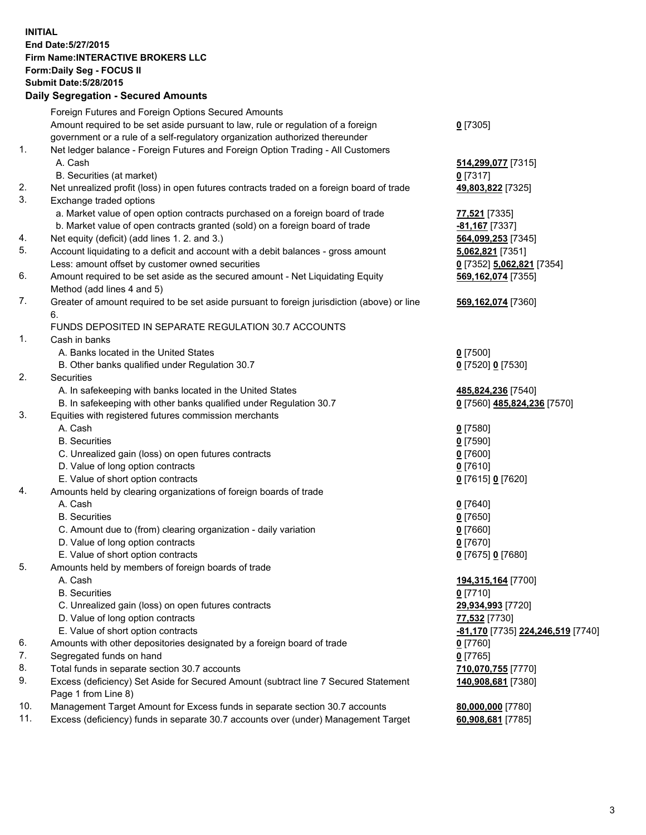## **INITIAL End Date:5/27/2015 Firm Name:INTERACTIVE BROKERS LLC Form:Daily Seg - FOCUS II Submit Date:5/28/2015 Daily Segregation - Secured Amounts**

|     | Foreign Futures and Foreign Options Secured Amounts                                         |                                                |
|-----|---------------------------------------------------------------------------------------------|------------------------------------------------|
|     | Amount required to be set aside pursuant to law, rule or regulation of a foreign            | $0$ [7305]                                     |
|     | government or a rule of a self-regulatory organization authorized thereunder                |                                                |
| 1.  | Net ledger balance - Foreign Futures and Foreign Option Trading - All Customers             |                                                |
|     | A. Cash                                                                                     | 514,299,077 [7315]                             |
|     | B. Securities (at market)                                                                   | $0$ [7317]                                     |
| 2.  | Net unrealized profit (loss) in open futures contracts traded on a foreign board of trade   | 49,803,822 [7325]                              |
| 3.  | Exchange traded options                                                                     |                                                |
|     | a. Market value of open option contracts purchased on a foreign board of trade              | 77,521 [7335]                                  |
|     | b. Market value of open contracts granted (sold) on a foreign board of trade                | -81,167 <sup>[7337]</sup>                      |
| 4.  | Net equity (deficit) (add lines 1. 2. and 3.)                                               | 564,099,253 [7345]                             |
| 5.  | Account liquidating to a deficit and account with a debit balances - gross amount           | 5,062,821 [7351]                               |
|     | Less: amount offset by customer owned securities                                            |                                                |
| 6.  |                                                                                             | 0 [7352] 5,062,821 [7354]                      |
|     | Amount required to be set aside as the secured amount - Net Liquidating Equity              | 569,162,074 [7355]                             |
|     | Method (add lines 4 and 5)                                                                  |                                                |
| 7.  | Greater of amount required to be set aside pursuant to foreign jurisdiction (above) or line | 569,162,074 [7360]                             |
|     | 6.                                                                                          |                                                |
|     | FUNDS DEPOSITED IN SEPARATE REGULATION 30.7 ACCOUNTS                                        |                                                |
| 1.  | Cash in banks                                                                               |                                                |
|     | A. Banks located in the United States                                                       | $0$ [7500]                                     |
|     | B. Other banks qualified under Regulation 30.7                                              | 0 [7520] 0 [7530]                              |
| 2.  | Securities                                                                                  |                                                |
|     | A. In safekeeping with banks located in the United States                                   | 485,824,236 [7540]                             |
|     | B. In safekeeping with other banks qualified under Regulation 30.7                          | 0 [7560] 485,824,236 [7570]                    |
| 3.  | Equities with registered futures commission merchants                                       |                                                |
|     | A. Cash                                                                                     | $0$ [7580]                                     |
|     | <b>B.</b> Securities                                                                        | $0$ [7590]                                     |
|     | C. Unrealized gain (loss) on open futures contracts                                         | $0$ [7600]                                     |
|     | D. Value of long option contracts                                                           | $0$ [7610]                                     |
|     | E. Value of short option contracts                                                          | 0 [7615] 0 [7620]                              |
| 4.  | Amounts held by clearing organizations of foreign boards of trade                           |                                                |
|     | A. Cash                                                                                     | $0$ [7640]                                     |
|     | <b>B.</b> Securities                                                                        | $0$ [7650]                                     |
|     | C. Amount due to (from) clearing organization - daily variation                             | $0$ [7660]                                     |
|     | D. Value of long option contracts                                                           | $0$ [7670]                                     |
|     | E. Value of short option contracts                                                          | 0 [7675] 0 [7680]                              |
| 5.  | Amounts held by members of foreign boards of trade                                          |                                                |
|     | A. Cash                                                                                     | 194,315,164 [7700]                             |
|     | <b>B.</b> Securities                                                                        | $0$ [7710]                                     |
|     | C. Unrealized gain (loss) on open futures contracts                                         | 29,934,993 [7720]                              |
|     | D. Value of long option contracts                                                           | 77,532 [7730]                                  |
|     | E. Value of short option contracts                                                          | <mark>-81,170</mark> [7735] 224,246,519 [7740] |
| 6.  | Amounts with other depositories designated by a foreign board of trade                      | $0$ [7760]                                     |
| 7.  | Segregated funds on hand                                                                    | $0$ [7765]                                     |
| 8.  | Total funds in separate section 30.7 accounts                                               | 710,070,755 [7770]                             |
| 9.  | Excess (deficiency) Set Aside for Secured Amount (subtract line 7 Secured Statement         | 140,908,681 [7380]                             |
|     | Page 1 from Line 8)                                                                         |                                                |
| 10. | Management Target Amount for Excess funds in separate section 30.7 accounts                 | 80,000,000 [7780]                              |
| 11. | Excess (deficiency) funds in separate 30.7 accounts over (under) Management Target          | 60,908,681 [7785]                              |
|     |                                                                                             |                                                |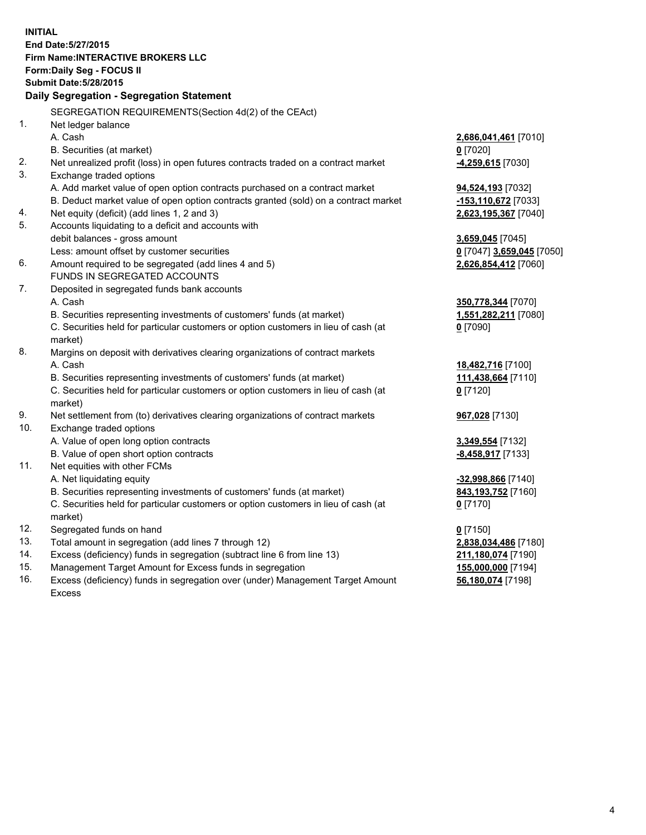**INITIAL End Date:5/27/2015 Firm Name:INTERACTIVE BROKERS LLC Form:Daily Seg - FOCUS II Submit Date:5/28/2015 Daily Segregation - Segregation Statement** SEGREGATION REQUIREMENTS(Section 4d(2) of the CEAct) 1. Net ledger balance A. Cash **2,686,041,461** [7010] B. Securities (at market) **0** [7020] 2. Net unrealized profit (loss) in open futures contracts traded on a contract market **-4,259,615** [7030] 3. Exchange traded options A. Add market value of open option contracts purchased on a contract market **94,524,193** [7032] B. Deduct market value of open option contracts granted (sold) on a contract market **-153,110,672** [7033] 4. Net equity (deficit) (add lines 1, 2 and 3) **2,623,195,367** [7040] 5. Accounts liquidating to a deficit and accounts with debit balances - gross amount **3,659,045** [7045] Less: amount offset by customer securities **0** [7047] **3,659,045** [7050] 6. Amount required to be segregated (add lines 4 and 5) **2,626,854,412** [7060] FUNDS IN SEGREGATED ACCOUNTS 7. Deposited in segregated funds bank accounts A. Cash **350,778,344** [7070] B. Securities representing investments of customers' funds (at market) **1,551,282,211** [7080] C. Securities held for particular customers or option customers in lieu of cash (at market) **0** [7090] 8. Margins on deposit with derivatives clearing organizations of contract markets A. Cash **18,482,716** [7100] B. Securities representing investments of customers' funds (at market) **111,438,664** [7110] C. Securities held for particular customers or option customers in lieu of cash (at market) **0** [7120] 9. Net settlement from (to) derivatives clearing organizations of contract markets **967,028** [7130] 10. Exchange traded options A. Value of open long option contracts **3,349,554** [7132] B. Value of open short option contracts **-8,458,917** [7133] 11. Net equities with other FCMs A. Net liquidating equity **-32,998,866** [7140] B. Securities representing investments of customers' funds (at market) **843,193,752** [7160] C. Securities held for particular customers or option customers in lieu of cash (at market) **0** [7170] 12. Segregated funds on hand **0** [7150] 13. Total amount in segregation (add lines 7 through 12) **2,838,034,486** [7180] 14. Excess (deficiency) funds in segregation (subtract line 6 from line 13) **211,180,074** [7190] 15. Management Target Amount for Excess funds in segregation **155,000,000** [7194]

16. Excess (deficiency) funds in segregation over (under) Management Target Amount Excess

**56,180,074** [7198]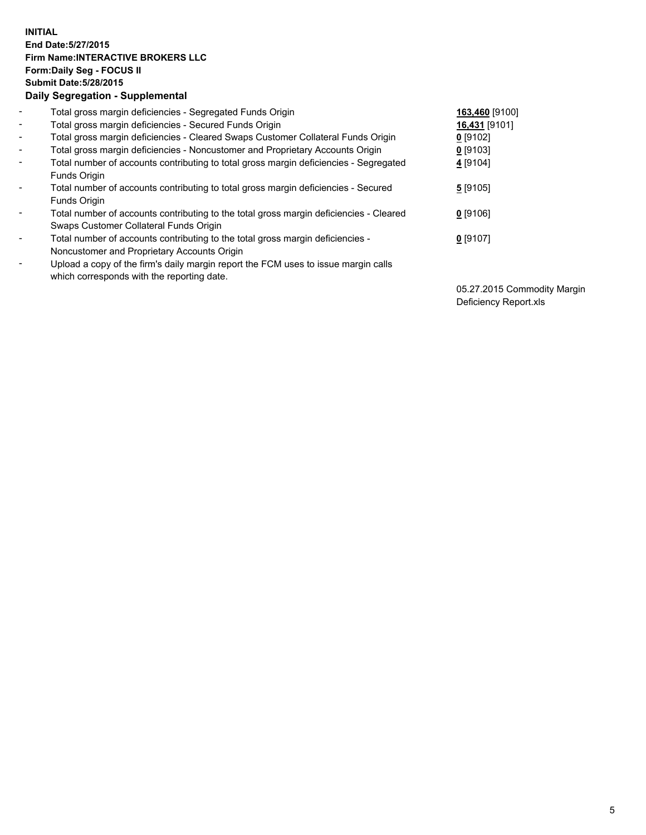## **INITIAL End Date:5/27/2015 Firm Name:INTERACTIVE BROKERS LLC Form:Daily Seg - FOCUS II Submit Date:5/28/2015 Daily Segregation - Supplemental**

| $\blacksquare$           | Total gross margin deficiencies - Segregated Funds Origin                                                                        | 163,460 [9100] |
|--------------------------|----------------------------------------------------------------------------------------------------------------------------------|----------------|
| $\blacksquare$           | Total gross margin deficiencies - Secured Funds Origin                                                                           | 16,431 [9101]  |
| $\blacksquare$           | Total gross margin deficiencies - Cleared Swaps Customer Collateral Funds Origin                                                 | $0$ [9102]     |
| $\blacksquare$           | Total gross margin deficiencies - Noncustomer and Proprietary Accounts Origin                                                    | $0$ [9103]     |
| $\blacksquare$           | Total number of accounts contributing to total gross margin deficiencies - Segregated<br>Funds Origin                            | 4 [9104]       |
| $\blacksquare$           | Total number of accounts contributing to total gross margin deficiencies - Secured<br><b>Funds Origin</b>                        | 5[9105]        |
| $\overline{\phantom{a}}$ | Total number of accounts contributing to the total gross margin deficiencies - Cleared<br>Swaps Customer Collateral Funds Origin | $0$ [9106]     |
| -                        | Total number of accounts contributing to the total gross margin deficiencies -<br>Noncustomer and Proprietary Accounts Origin    | $0$ [9107]     |
| $\blacksquare$           | Upload a copy of the firm's daily margin report the FCM uses to issue margin calls<br>which corresponds with the reporting date. |                |

05.27.2015 Commodity Margin Deficiency Report.xls